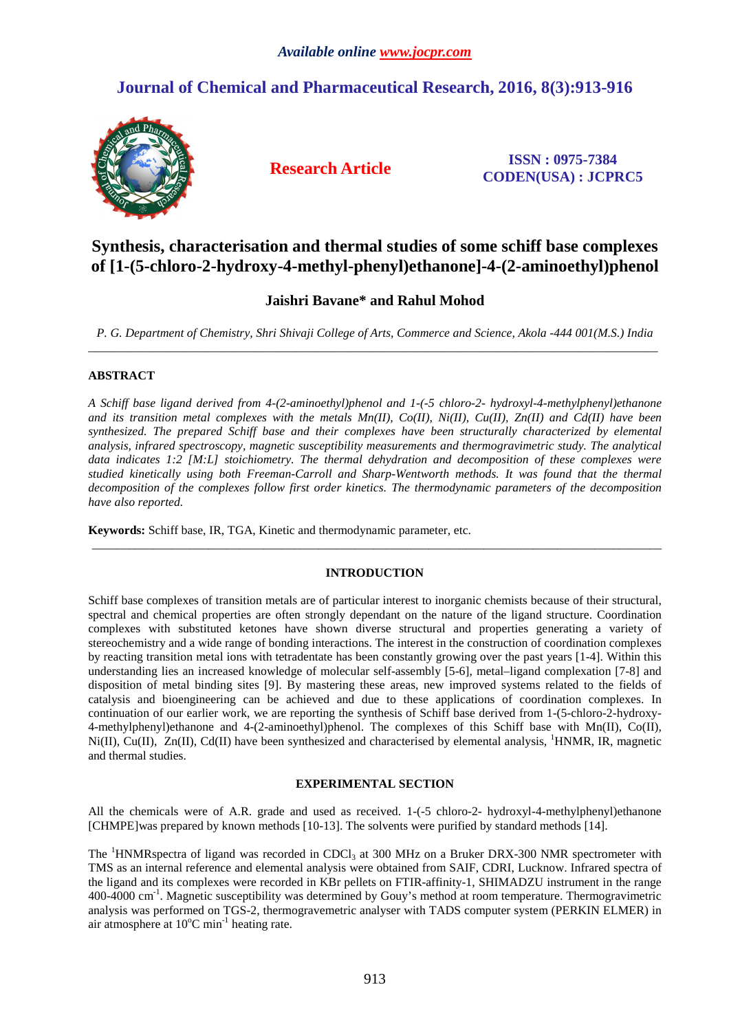# **Journal of Chemical and Pharmaceutical Research, 2016, 8(3):913-916**



**Research Article ISSN : 0975-7384 CODEN(USA) : JCPRC5**

# **Synthesis, characterisation and thermal studies of some schiff base complexes of [1-(5-chloro-2-hydroxy-4-methyl-phenyl)ethanone]-4-(2-aminoethyl)phenol**

# **Jaishri Bavane\* and Rahul Mohod**

*P. G. Department of Chemistry, Shri Shivaji College of Arts, Commerce and Science, Akola -444 001(M.S.) India*  \_\_\_\_\_\_\_\_\_\_\_\_\_\_\_\_\_\_\_\_\_\_\_\_\_\_\_\_\_\_\_\_\_\_\_\_\_\_\_\_\_\_\_\_\_\_\_\_\_\_\_\_\_\_\_\_\_\_\_\_\_\_\_\_\_\_\_\_\_\_\_\_\_\_\_\_\_\_\_\_\_\_\_\_\_\_\_\_\_\_\_\_\_

## **ABSTRACT**

*A Schiff base ligand derived from 4-(2-aminoethyl)phenol and 1-(-5 chloro-2- hydroxyl-4-methylphenyl)ethanone*  and its transition metal complexes with the metals Mn(II), Co(II), Ni(II), Cu(II), Zn(II) and Cd(II) have been *synthesized. The prepared Schiff base and their complexes have been structurally characterized by elemental analysis, infrared spectroscopy, magnetic susceptibility measurements and thermogravimetric study. The analytical data indicates 1:2 [M:L] stoichiometry. The thermal dehydration and decomposition of these complexes were studied kinetically using both Freeman-Carroll and Sharp-Wentworth methods. It was found that the thermal decomposition of the complexes follow first order kinetics. The thermodynamic parameters of the decomposition have also reported.*

**Keywords:** Schiff base, IR, TGA, Kinetic and thermodynamic parameter, etc.

# **INTRODUCTION**

\_\_\_\_\_\_\_\_\_\_\_\_\_\_\_\_\_\_\_\_\_\_\_\_\_\_\_\_\_\_\_\_\_\_\_\_\_\_\_\_\_\_\_\_\_\_\_\_\_\_\_\_\_\_\_\_\_\_\_\_\_\_\_\_\_\_\_\_\_\_\_\_\_\_\_\_\_\_\_\_\_\_\_\_\_\_\_\_\_\_\_\_\_

Schiff base complexes of transition metals are of particular interest to inorganic chemists because of their structural, spectral and chemical properties are often strongly dependant on the nature of the ligand structure. Coordination complexes with substituted ketones have shown diverse structural and properties generating a variety of stereochemistry and a wide range of bonding interactions. The interest in the construction of coordination complexes by reacting transition metal ions with tetradentate has been constantly growing over the past years [1-4]. Within this understanding lies an increased knowledge of molecular self-assembly [5-6], metal–ligand complexation [7-8] and disposition of metal binding sites [9]. By mastering these areas, new improved systems related to the fields of catalysis and bioengineering can be achieved and due to these applications of coordination complexes. In continuation of our earlier work, we are reporting the synthesis of Schiff base derived from 1-(5-chloro-2-hydroxy-4-methylphenyl)ethanone and 4-(2-aminoethyl)phenol. The complexes of this Schiff base with Mn(II), Co(II),  $Ni(II)$ , Cu(II),  $Zn(II)$ , Cd(II) have been synthesized and characterised by elemental analysis, <sup>1</sup>HNMR, IR, magnetic and thermal studies.

## **EXPERIMENTAL SECTION**

All the chemicals were of A.R. grade and used as received. 1-(-5 chloro-2- hydroxyl-4-methylphenyl)ethanone [CHMPE]was prepared by known methods [10-13]. The solvents were purified by standard methods [14].

The <sup>1</sup>HNMRspectra of ligand was recorded in CDCl<sub>3</sub> at 300 MHz on a Bruker DRX-300 NMR spectrometer with TMS as an internal reference and elemental analysis were obtained from SAIF, CDRI, Lucknow. Infrared spectra of the ligand and its complexes were recorded in KBr pellets on FTIR-affinity-1, SHIMADZU instrument in the range 400-4000 cm-1. Magnetic susceptibility was determined by Gouy's method at room temperature. Thermogravimetric analysis was performed on TGS-2, thermogravemetric analyser with TADS computer system (PERKIN ELMER) in air atmosphere at  $10^{\circ}$ C min<sup>-1</sup> heating rate.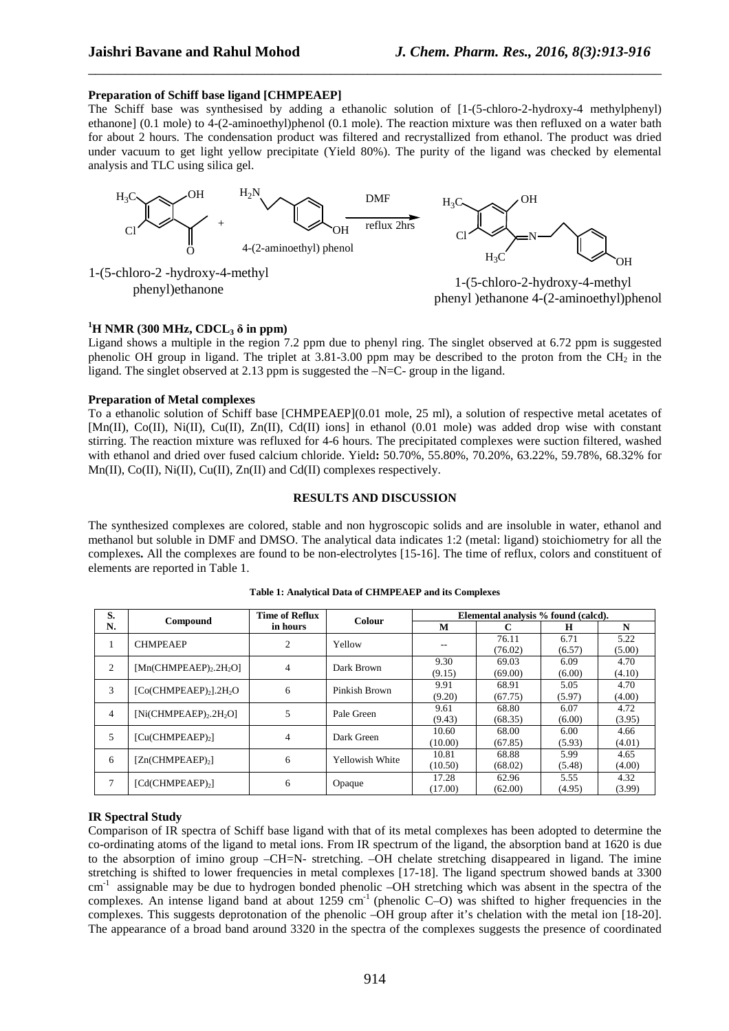## **Preparation of Schiff base ligand [CHMPEAEP]**

The Schiff base was synthesised by adding a ethanolic solution of [1-(5-chloro-2-hydroxy-4 methylphenyl) ethanone] (0.1 mole) to 4-(2-aminoethyl)phenol (0.1 mole). The reaction mixture was then refluxed on a water bath for about 2 hours. The condensation product was filtered and recrystallized from ethanol. The product was dried under vacuum to get light yellow precipitate (Yield 80%). The purity of the ligand was checked by elemental analysis and TLC using silica gel.

\_\_\_\_\_\_\_\_\_\_\_\_\_\_\_\_\_\_\_\_\_\_\_\_\_\_\_\_\_\_\_\_\_\_\_\_\_\_\_\_\_\_\_\_\_\_\_\_\_\_\_\_\_\_\_\_\_\_\_\_\_\_\_\_\_\_\_\_\_\_\_\_\_\_\_\_\_\_



1-(5-chloro-2 -hydroxy-4-methyl

phenyl)ethanone  $1-(5-\text{chloro-2-hydroxy-4-methyl})$ phenyl )ethanone 4-(2-aminoethyl)phenol

# $^{1}$ **H** NMR (300 MHz, CDCL<sub>3</sub>  $\delta$  in ppm)

Ligand shows a multiple in the region 7.2 ppm due to phenyl ring. The singlet observed at 6.72 ppm is suggested phenolic OH group in ligand. The triplet at  $3.81-3.00$  ppm may be described to the proton from the CH<sub>2</sub> in the ligand. The singlet observed at 2.13 ppm is suggested the  $-N=C$ - group in the ligand.

### **Preparation of Metal complexes**

To a ethanolic solution of Schiff base [CHMPEAEP](0.01 mole, 25 ml), a solution of respective metal acetates of [Mn(II), Co(II), Ni(II), Cu(II), Zn(II), Cd(II) ions] in ethanol (0.01 mole) was added drop wise with constant stirring. The reaction mixture was refluxed for 4-6 hours. The precipitated complexes were suction filtered, washed with ethanol and dried over fused calcium chloride. Yield**:** 50.70%, 55.80%, 70.20%, 63.22%, 59.78%, 68.32% for Mn(II),  $Co(II)$ ,  $Ni(II)$ ,  $Cu(II)$ ,  $Zn(II)$  and  $Cd(II)$  complexes respectively.

#### **RESULTS AND DISCUSSION**

The synthesized complexes are colored, stable and non hygroscopic solids and are insoluble in water, ethanol and methanol but soluble in DMF and DMSO. The analytical data indicates 1:2 (metal: ligand) stoichiometry for all the complexes**.** All the complexes are found to be non-electrolytes [15-16]. The time of reflux, colors and constituent of elements are reported in Table 1.

| S.             | Compound                                          | <b>Time of Reflux</b><br>in hours | <b>Colour</b>   | Elemental analysis % found (calcd). |                  |                |                |
|----------------|---------------------------------------------------|-----------------------------------|-----------------|-------------------------------------|------------------|----------------|----------------|
| N.             |                                                   |                                   |                 | M                                   |                  | н              | N              |
|                | <b>CHMPEAEP</b>                                   | 2                                 | Yellow          |                                     | 76.11<br>(76.02) | 6.71<br>(6.57) | 5.22<br>(5.00) |
| 2              | $[Mn$ (CHMPEAEP) <sub>2</sub> .2H <sub>2</sub> O] | 4                                 | Dark Brown      | 9.30<br>(9.15)                      | 69.03<br>(69.00) | 6.09<br>(6.00) | 4.70<br>(4.10) |
| 3              | [Co(CHMPEAEP),].2H, O                             | 6                                 | Pinkish Brown   | 9.91<br>(9.20)                      | 68.91<br>(67.75) | 5.05<br>(5.97) | 4.70<br>(4.00) |
| $\overline{4}$ | $[Ni$ (CHMPEAEP) <sub>2</sub> .2H <sub>2</sub> O] | 5                                 | Pale Green      | 9.61<br>(9.43)                      | 68.80<br>(68.35) | 6.07<br>(6.00) | 4.72<br>(3.95) |
| 5              | [Cu(CHMPEAEP) <sub>2</sub> ]                      | 4                                 | Dark Green      | 10.60<br>(10.00)                    | 68.00<br>(67.85) | 6.00<br>(5.93) | 4.66<br>(4.01) |
| 6              | $[Zn$ (CHMPEAEP) <sub>2</sub> ]                   | 6                                 | Yellowish White | 10.81<br>(10.50)                    | 68.88<br>(68.02) | 5.99<br>(5.48) | 4.65<br>(4.00) |
| $\overline{7}$ | $[Cd$ (CHMPEAEP) <sub>2</sub> ]                   | 6                                 | Opaque          | 17.28<br>(17.00)                    | 62.96<br>(62.00) | 5.55<br>(4.95) | 4.32<br>(3.99) |

**Table 1: Analytical Data of CHMPEAEP and its Complexes** 

#### **IR Spectral Study**

Comparison of IR spectra of Schiff base ligand with that of its metal complexes has been adopted to determine the co-ordinating atoms of the ligand to metal ions. From IR spectrum of the ligand, the absorption band at 1620 is due to the absorption of imino group –CH=N- stretching. –OH chelate stretching disappeared in ligand. The imine stretching is shifted to lower frequencies in metal complexes [17-18]. The ligand spectrum showed bands at 3300  $cm<sup>-1</sup>$  assignable may be due to hydrogen bonded phenolic –OH stretching which was absent in the spectra of the complexes. An intense ligand band at about 1259 cm<sup>-1</sup> (phenolic C–O) was shifted to higher frequencies in the complexes. This suggests deprotonation of the phenolic –OH group after it's chelation with the metal ion [18-20]. The appearance of a broad band around 3320 in the spectra of the complexes suggests the presence of coordinated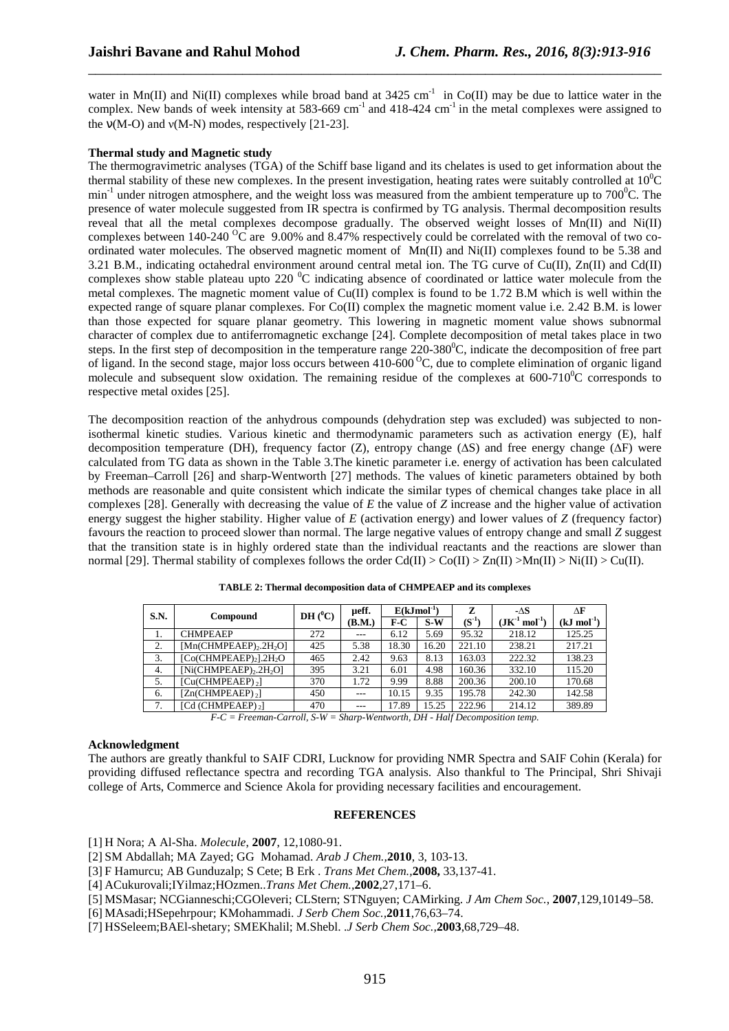water in Mn(II) and Ni(II) complexes while broad band at  $3425 \text{ cm}^{-1}$  in Co(II) may be due to lattice water in the complex. New bands of week intensity at 583-669 cm<sup>-1</sup> and 418-424 cm<sup>-1</sup> in the metal complexes were assigned to the  $v(M-O)$  and  $v(M-N)$  modes, respectively [21-23].

\_\_\_\_\_\_\_\_\_\_\_\_\_\_\_\_\_\_\_\_\_\_\_\_\_\_\_\_\_\_\_\_\_\_\_\_\_\_\_\_\_\_\_\_\_\_\_\_\_\_\_\_\_\_\_\_\_\_\_\_\_\_\_\_\_\_\_\_\_\_\_\_\_\_\_\_\_\_

#### **Thermal study and Magnetic study**

The thermogravimetric analyses (TGA) of the Schiff base ligand and its chelates is used to get information about the thermal stability of these new complexes. In the present investigation, heating rates were suitably controlled at  $10^{0}C$  $min^{-1}$  under nitrogen atmosphere, and the weight loss was measured from the ambient temperature up to 700 $^0C$ . The presence of water molecule suggested from IR spectra is confirmed by TG analysis. Thermal decomposition results reveal that all the metal complexes decompose gradually. The observed weight losses of  $Mn(II)$  and  $Ni(II)$ complexes between 140-240 <sup>o</sup>C are 9.00% and 8.47% respectively could be correlated with the removal of two coordinated water molecules. The observed magnetic moment of  $Mn(II)$  and  $Ni(II)$  complexes found to be 5.38 and 3.21 B.M., indicating octahedral environment around central metal ion. The TG curve of Cu(II), Zn(II) and Cd(II) complexes show stable plateau upto 220  $\rm{^0C}$  indicating absence of coordinated or lattice water molecule from the metal complexes. The magnetic moment value of Cu(II) complex is found to be 1.72 B.M which is well within the expected range of square planar complexes. For Co(II) complex the magnetic moment value i.e. 2.42 B.M. is lower than those expected for square planar geometry. This lowering in magnetic moment value shows subnormal character of complex due to antiferromagnetic exchange [24]. Complete decomposition of metal takes place in two steps. In the first step of decomposition in the temperature range  $220-380^{\circ}$ C, indicate the decomposition of free part of ligand. In the second stage, major loss occurs between  $410-600^{\circ}$ C, due to complete elimination of organic ligand molecule and subsequent slow oxidation. The remaining residue of the complexes at  $600-710^{\circ}$ C corresponds to respective metal oxides [25].

The decomposition reaction of the anhydrous compounds (dehydration step was excluded) was subjected to nonisothermal kinetic studies. Various kinetic and thermodynamic parameters such as activation energy (E), half decomposition temperature (DH), frequency factor (Z), entropy change (**∆**S) and free energy change (**∆**F) were calculated from TG data as shown in the Table 3.The kinetic parameter i.e. energy of activation has been calculated by Freeman–Carroll [26] and sharp-Wentworth [27] methods. The values of kinetic parameters obtained by both methods are reasonable and quite consistent which indicate the similar types of chemical changes take place in all complexes [28]. Generally with decreasing the value of *E* the value of *Z* increase and the higher value of activation energy suggest the higher stability. Higher value of *E* (activation energy) and lower values of *Z* (frequency factor) favours the reaction to proceed slower than normal. The large negative values of entropy change and small *Z* suggest that the transition state is in highly ordered state than the individual reactants and the reactions are slower than normal [29]. Thermal stability of complexes follows the order  $Cd(\Pi) > Co(\Pi) > Zn(\Pi) > Mn(\Pi) > Ni(\Pi) > Cu(\Pi)$ .

| <b>S.N.</b> | Compound                                          | $DH(^0C)$ | ueff.   | $E(kJmol^{-1})$ |       | z          | - $\Delta S$                                 | ΛF               |
|-------------|---------------------------------------------------|-----------|---------|-----------------|-------|------------|----------------------------------------------|------------------|
|             |                                                   |           | (B.M.)  | F-C             | $S-W$ | $(S^{-1})$ | $(JK^{\text{-}1}\,\mathrm{mol}^{\text{-}1})$ | $(kJ \mod^{-1})$ |
| 1.          | <b>CHMPEAEP</b>                                   | 272       | $- - -$ | 6.12            | 5.69  | 95.32      | 218.12                                       | 125.25           |
| 2.          | $[Mn$ (CHMPEAEP) <sub>2</sub> .2H <sub>2</sub> O] | 425       | 5.38    | 18.30           | 16.20 | 221.10     | 238.21                                       | 217.21           |
| 3.          | $[Co(CHMPEAEP)_2]$ .2H <sub>2</sub> O             | 465       | 2.42    | 9.63            | 8.13  | 163.03     | 222.32                                       | 138.23           |
| 4.          | $[Ni$ (CHMPEAEP) <sub>2</sub> .2H <sub>2</sub> O] | 395       | 3.21    | 6.01            | 4.98  | 160.36     | 332.10                                       | 115.20           |
| 5.          | [Cu(CHMPEAEP) <sub>2</sub> ]                      | 370       | 1.72    | 9.99            | 8.88  | 200.36     | 200.10                                       | 170.68           |
| 6.          | $[Zn$ (CHMPEAEP), $]$                             | 450       | $- - -$ | 10.15           | 9.35  | 195.78     | 242.30                                       | 142.58           |
| 7.          | <b>[Cd (CHMPEAEP)</b> , 1                         | 470       |         | 17.89           | 15.25 | 222.96     | 214.12                                       | 389.89           |

**TABLE 2: Thermal decomposition data of CHMPEAEP and its complexes** 

*F-C = Freeman-Carroll, S-W = Sharp-Wentworth, DH - Half Decomposition temp.* 

#### **Acknowledgment**

The authors are greatly thankful to SAIF CDRI, Lucknow for providing NMR Spectra and SAIF Cohin (Kerala) for providing diffused reflectance spectra and recording TGA analysis. Also thankful to The Principal, Shri Shivaji college of Arts, Commerce and Science Akola for providing necessary facilities and encouragement.

## **REFERENCES**

[1] H Nora; A Al-Sha. *Molecule*, **2007**, 12,1080-91.

[2] SM Abdallah; MA Zayed; GG Mohamad. *Arab J Chem.,***2010**, 3, 103-13.

[3] F Hamurcu; AB Gunduzalp; S Cete; B Erk . *Trans Met Chem.,***2008,** 33,137-41.

[4] ACukurovali;IYilmaz;HOzmen..*Trans Met Chem.,***2002**,27,171–6.

[5] MSMasar; NCGianneschi;CGOleveri; CLStern; STNguyen; CAMirking. *J Am Chem Soc.*, **2007**,129,10149–58.

[6] MAsadi;HSepehrpour; KMohammadi. *J Serb Chem Soc.,***2011**,76,63–74.

[7] HSSeleem;BAEl-shetary; SMEKhalil; M.Shebl. .*J Serb Chem Soc.,***2003**,68,729–48.